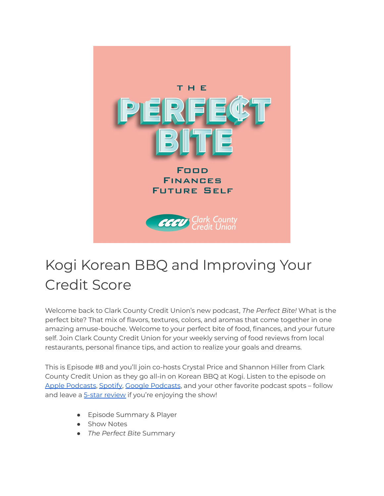

# Kogi Korean BBQ and Improving Your Credit Score

Welcome back to Clark County Credit Union's new podcast, *The Perfect Bite!* What is the perfect bite? That mix of flavors, textures, colors, and aromas that come together in one amazing amuse-bouche. Welcome to your perfect bite of food, finances, and your future self. Join Clark County Credit Union for your weekly serving of food reviews from local restaurants, personal finance tips, and action to realize your goals and dreams.

This is Episode #8 and you'll join co-hosts Crystal Price and Shannon Hiller from Clark County Credit Union as they go all-in on Korean BBQ at Kogi. Listen to the episode on Apple [Podcasts](https://podcasts.google.com/feed/aHR0cHM6Ly9wZXJmZWN0Yml0ZS5saWJzeW4uY29tL3Jzcw?sa=X&ved=0CAMQ4aUDahcKEwi47ZHlgPP1AhUAAAAAHQAAAAAQRA), [Spotify,](https://open.spotify.com/show/7tNPJZBNHabGWEFmjnHaxR?si=a0a7808911264628) Google Podcasts, and your other favorite podcast spots - follow and leave a 5-star [review](https://podcasts.apple.com/us/podcast/the-perfect-bite/id1604656448) if you're enjoying the show!

- Episode Summary & Player
- Show Notes
- *The Perfect Bite* Summary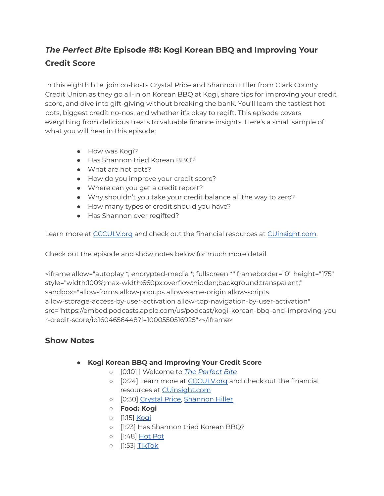## *The Perfect Bite* **Episode #8: Kogi Korean BBQ and Improving Your Credit Score**

In this eighth bite, join co-hosts Crystal Price and Shannon Hiller from Clark County Credit Union as they go all-in on Korean BBQ at Kogi, share tips for improving your credit score, and dive into gift-giving without breaking the bank. You'll learn the tastiest hot pots, biggest credit no-nos, and whether it's okay to regift. This episode covers everything from delicious treats to valuable finance insights. Here's a small sample of what you will hear in this episode:

- How was Kogi?
- Has Shannon tried Korean BBQ?
- What are hot pots?
- How do you improve your credit score?
- Where can you get a credit report?
- Why shouldn't you take your credit balance all the way to zero?
- How many types of credit should you have?
- Has Shannon ever regifted?

Learn more at [CCCULV.org](https://www.ccculv.org/) and check out the financial resources at [CUinsight.com.](https://www.cuinsight.com/)

Check out the episode and show notes below for much more detail.

<iframe allow="autoplay \*; encrypted-media \*; fullscreen \*" frameborder="0" height="175" style="width:100%;max-width:660px;overflow:hidden;background:transparent;" sandbox="allow-forms allow-popups allow-same-origin allow-scripts allow-storage-access-by-user-activation allow-top-navigation-by-user-activation" src="https://embed.podcasts.apple.com/us/podcast/kogi-korean-bbq-and-improving-you r-credit-score/id1604656448?i=1000550516925"></iframe>

### **Show Notes**

- **Kogi Korean BBQ and Improving Your Credit Score**
	- [0:10] ] Welcome to *The [Perfect](https://www.ccculv.org/) Bite*
	- [0:24] Learn more at [CCCULV.org](https://www.ccculv.org/) and check out the financial resources at **[CUinsight.com](https://www.cuinsight.com/)**
	- [0:30] [Crystal](https://www.ccculv.org/Our-Mission.aspx) Price, [Shannon](https://www.ccculv.org/Our-Mission.aspx) Hiller
	- **○ Food: Kogi**
	- [1:15] [Kogi](https://www.yelp.com/biz/kogi-korean-bbq-and-seafood-hotpot-las-vegas)
	- [1:23] Has Shannon tried Korean BBQ?
	- [1:48] [Hot](https://www.yelp.com/biz/kogi-korean-bbq-and-seafood-hotpot-las-vegas) Pot
	- [1:53] [TikTok](https://www.tiktok.com/discover/vegas-foodie?lang=en)